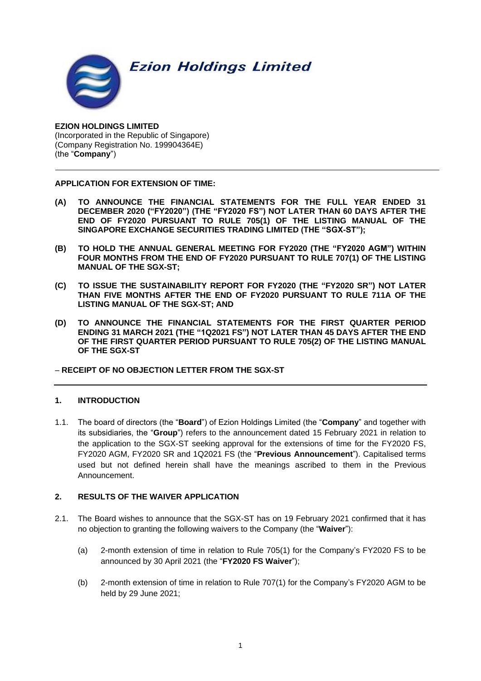**Ezion Holdings Limited** 



**EZION HOLDINGS LIMITED** (Incorporated in the Republic of Singapore) (Company Registration No. 199904364E) (the "**Company**")

# **APPLICATION FOR EXTENSION OF TIME:**

- **(A) TO ANNOUNCE THE FINANCIAL STATEMENTS FOR THE FULL YEAR ENDED 31 DECEMBER 2020 ("FY2020") (THE "FY2020 FS") NOT LATER THAN 60 DAYS AFTER THE END OF FY2020 PURSUANT TO RULE 705(1) OF THE LISTING MANUAL OF THE SINGAPORE EXCHANGE SECURITIES TRADING LIMITED (THE "SGX-ST");**
- **(B) TO HOLD THE ANNUAL GENERAL MEETING FOR FY2020 (THE "FY2020 AGM") WITHIN FOUR MONTHS FROM THE END OF FY2020 PURSUANT TO RULE 707(1) OF THE LISTING MANUAL OF THE SGX-ST;**
- **(C) TO ISSUE THE SUSTAINABILITY REPORT FOR FY2020 (THE "FY2020 SR") NOT LATER THAN FIVE MONTHS AFTER THE END OF FY2020 PURSUANT TO RULE 711A OF THE LISTING MANUAL OF THE SGX-ST; AND**
- **(D) TO ANNOUNCE THE FINANCIAL STATEMENTS FOR THE FIRST QUARTER PERIOD ENDING 31 MARCH 2021 (THE "1Q2021 FS") NOT LATER THAN 45 DAYS AFTER THE END OF THE FIRST QUARTER PERIOD PURSUANT TO RULE 705(2) OF THE LISTING MANUAL OF THE SGX-ST**

# − **RECEIPT OF NO OBJECTION LETTER FROM THE SGX-ST**

# **1. INTRODUCTION**

1.1. The board of directors (the "**Board**") of Ezion Holdings Limited (the "**Company**" and together with its subsidiaries, the "**Group**") refers to the announcement dated 15 February 2021 in relation to the application to the SGX-ST seeking approval for the extensions of time for the FY2020 FS, FY2020 AGM, FY2020 SR and 1Q2021 FS (the "**Previous Announcement**"). Capitalised terms used but not defined herein shall have the meanings ascribed to them in the Previous Announcement.

# **2. RESULTS OF THE WAIVER APPLICATION**

- 2.1. The Board wishes to announce that the SGX-ST has on 19 February 2021 confirmed that it has no objection to granting the following waivers to the Company (the "**Waiver**"):
	- (a) 2-month extension of time in relation to Rule 705(1) for the Company's FY2020 FS to be announced by 30 April 2021 (the "**FY2020 FS Waiver**");
	- (b) 2-month extension of time in relation to Rule 707(1) for the Company's FY2020 AGM to be held by 29 June 2021;